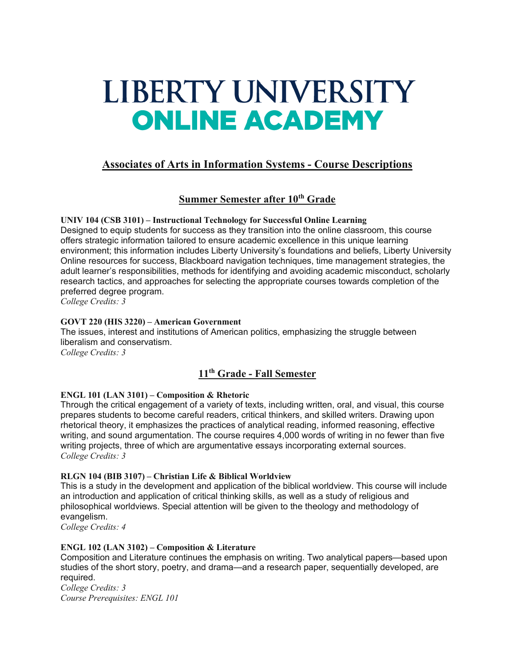# LIBERTY UNIVERSITY **ONLINE ACADEMY**

# **Associates of Arts in Information Systems - Course Descriptions**

# **Summer Semester after 10th Grade**

**UNIV 104 (CSB 3101) – Instructional Technology for Successful Online Learning** Designed to equip students for success as they transition into the online classroom, this course offers strategic information tailored to ensure academic excellence in this unique learning environment; this information includes Liberty University's foundations and beliefs, Liberty University Online resources for success, Blackboard navigation techniques, time management strategies, the adult learner's responsibilities, methods for identifying and avoiding academic misconduct, scholarly research tactics, and approaches for selecting the appropriate courses towards completion of the preferred degree program.

*College Credits: 3*

## **GOVT 220 (HIS 3220) – American Government**

The issues, interest and institutions of American politics, emphasizing the struggle between liberalism and conservatism. *College Credits: 3*

# **11th Grade - Fall Semester**

## **ENGL 101 (LAN 3101) – Composition & Rhetoric**

Through the critical engagement of a variety of texts, including written, oral, and visual, this course prepares students to become careful readers, critical thinkers, and skilled writers. Drawing upon rhetorical theory, it emphasizes the practices of analytical reading, informed reasoning, effective writing, and sound argumentation. The course requires 4,000 words of writing in no fewer than five writing projects, three of which are argumentative essays incorporating external sources. *College Credits: 3*

## **RLGN 104 (BIB 3107) – Christian Life & Biblical Worldview**

This is a study in the development and application of the biblical worldview. This course will include an introduction and application of critical thinking skills, as well as a study of religious and philosophical worldviews. Special attention will be given to the theology and methodology of evangelism.

*College Credits: 4*

## **ENGL 102 (LAN 3102) – Composition & Literature**

Composition and Literature continues the emphasis on writing. Two analytical papers—based upon studies of the short story, poetry, and drama—and a research paper, sequentially developed, are required.

*College Credits: 3 Course Prerequisites: ENGL 101*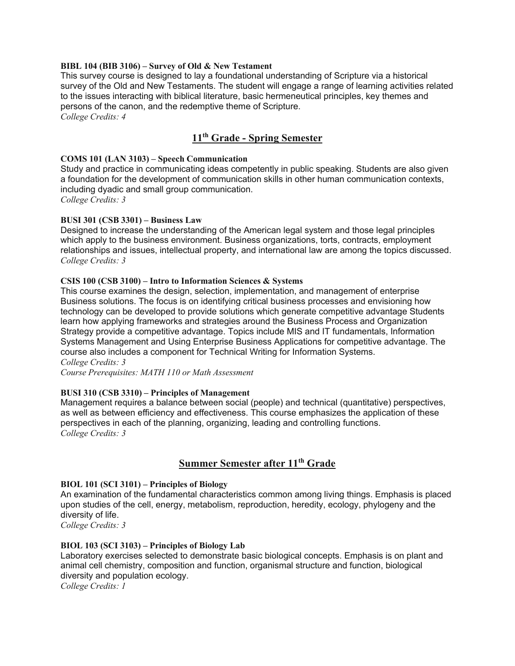#### **BIBL 104 (BIB 3106) – Survey of Old & New Testament**

This survey course is designed to lay a foundational understanding of Scripture via a historical survey of the Old and New Testaments. The student will engage a range of learning activities related to the issues interacting with biblical literature, basic hermeneutical principles, key themes and persons of the canon, and the redemptive theme of Scripture.

*College Credits: 4*

# **11th Grade - Spring Semester**

#### **COMS 101 (LAN 3103) – Speech Communication**

Study and practice in communicating ideas competently in public speaking. Students are also given a foundation for the development of communication skills in other human communication contexts, including dyadic and small group communication.

*College Credits: 3*

#### **BUSI 301 (CSB 3301) – Business Law**

Designed to increase the understanding of the American legal system and those legal principles which apply to the business environment. Business organizations, torts, contracts, employment relationships and issues, intellectual property, and international law are among the topics discussed. *College Credits: 3*

#### **CSIS 100 (CSB 3100) – Intro to Information Sciences & Systems**

This course examines the design, selection, implementation, and management of enterprise Business solutions. The focus is on identifying critical business processes and envisioning how technology can be developed to provide solutions which generate competitive advantage Students learn how applying frameworks and strategies around the Business Process and Organization Strategy provide a competitive advantage. Topics include MIS and IT fundamentals, Information Systems Management and Using Enterprise Business Applications for competitive advantage. The course also includes a component for Technical Writing for Information Systems. *College Credits: 3*

*Course Prerequisites: MATH 110 or Math Assessment*

#### **BUSI 310 (CSB 3310) – Principles of Management**

Management requires a balance between social (people) and technical (quantitative) perspectives, as well as between efficiency and effectiveness. This course emphasizes the application of these perspectives in each of the planning, organizing, leading and controlling functions. *College Credits: 3*

# **Summer Semester after 11th Grade**

#### **BIOL 101 (SCI 3101) – Principles of Biology**

An examination of the fundamental characteristics common among living things. Emphasis is placed upon studies of the cell, energy, metabolism, reproduction, heredity, ecology, phylogeny and the diversity of life.

*College Credits: 3*

#### **BIOL 103 (SCI 3103) – Principles of Biology Lab**

Laboratory exercises selected to demonstrate basic biological concepts. Emphasis is on plant and animal cell chemistry, composition and function, organismal structure and function, biological diversity and population ecology.

*College Credits: 1*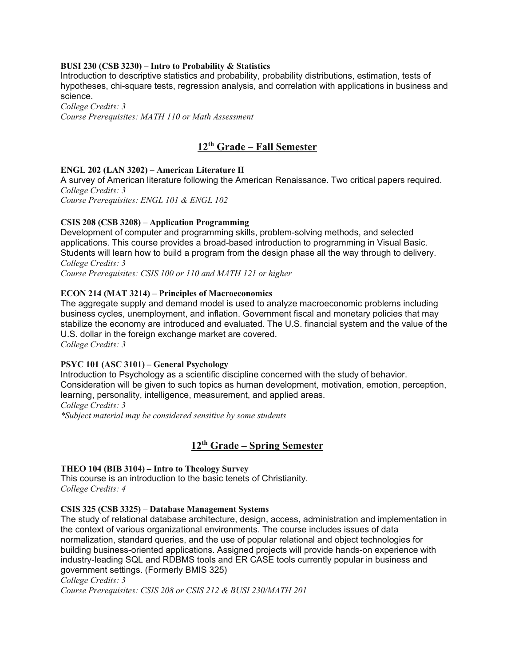#### **BUSI 230 (CSB 3230) – Intro to Probability & Statistics**

Introduction to descriptive statistics and probability, probability distributions, estimation, tests of hypotheses, chi-square tests, regression analysis, and correlation with applications in business and science.

*College Credits: 3 Course Prerequisites: MATH 110 or Math Assessment*

# **12th Grade – Fall Semester**

#### **ENGL 202 (LAN 3202) – American Literature II**

A survey of American literature following the American Renaissance. Two critical papers required. *College Credits: 3*

*Course Prerequisites: ENGL 101 & ENGL 102*

#### **CSIS 208 (CSB 3208) – Application Programming**

Development of computer and programming skills, problem-solving methods, and selected applications. This course provides a broad-based introduction to programming in Visual Basic. Students will learn how to build a program from the design phase all the way through to delivery. *College Credits: 3*

*Course Prerequisites: CSIS 100 or 110 and MATH 121 or higher*

#### **ECON 214 (MAT 3214) – Principles of Macroeconomics**

The aggregate supply and demand model is used to analyze macroeconomic problems including business cycles, unemployment, and inflation. Government fiscal and monetary policies that may stabilize the economy are introduced and evaluated. The U.S. financial system and the value of the U.S. dollar in the foreign exchange market are covered. *College Credits: 3*

# **PSYC 101 (ASC 3101) – General Psychology**

Introduction to Psychology as a scientific discipline concerned with the study of behavior. Consideration will be given to such topics as human development, motivation, emotion, perception, learning, personality, intelligence, measurement, and applied areas. *College Credits: 3*

*\*Subject material may be considered sensitive by some students*

# **12th Grade – Spring Semester**

#### **THEO 104 (BIB 3104) – Intro to Theology Survey**

This course is an introduction to the basic tenets of Christianity. *College Credits: 4*

#### **CSIS 325 (CSB 3325) – Database Management Systems**

The study of relational database architecture, design, access, administration and implementation in the context of various organizational environments. The course includes issues of data normalization, standard queries, and the use of popular relational and object technologies for building business-oriented applications. Assigned projects will provide hands-on experience with industry-leading SQL and RDBMS tools and ER CASE tools currently popular in business and government settings. (Formerly BMIS 325)

#### *College Credits: 3*

*Course Prerequisites: CSIS 208 or CSIS 212 & BUSI 230/MATH 201*